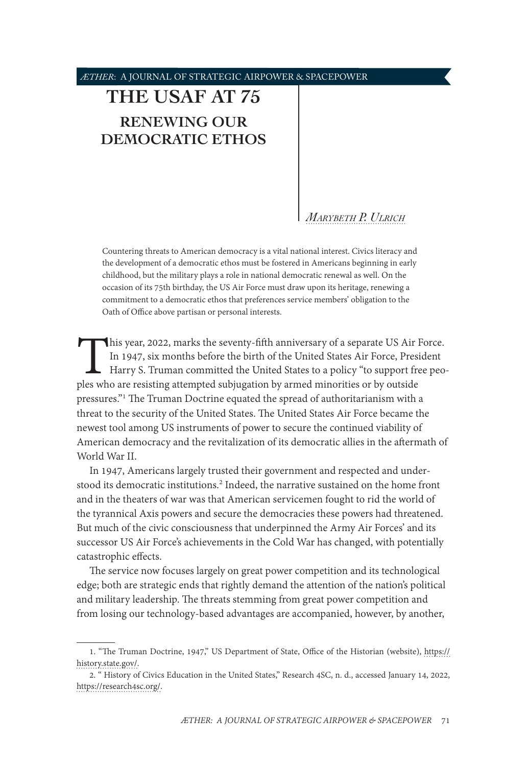# <span id="page-0-0"></span>**[THE USAF AT 75](#page-1-0) [RENEWING OUR](#page-1-0)  [DEMOCRATIC ETHOS](#page-1-0)**

## *[Marybeth P. Ulrich](#page-10-0)*

Countering threats to American democracy is a vital national interest. Civics literacy and the development of a democratic ethos must be fostered in Americans beginning in early childhood, but the military plays a role in national democratic renewal as well. On the occasion of its 75th birthday, the US Air Force must draw upon its heritage, renewing a commitment to a democratic ethos that preferences service members' obligation to the Oath of Office above partisan or personal interests.

This year, 2022, marks the seventy-fifth anniversary of a separate US Air Force.<br>In 1947, six months before the birth of the United States Air Force, President<br>Harry S. Truman committed the United States to a policy "to su In 1947, six months before the birth of the United States Air Force, President Harry S. Truman committed the United States to a policy "to support free peoples who are resisting attempted subjugation by armed minorities or by outside pressures."1 The Truman Doctrine equated the spread of authoritarianism with a threat to the security of the United States. The United States Air Force became the newest tool among US instruments of power to secure the continued viability of American democracy and the revitalization of its democratic allies in the aftermath of World War II.

In 1947, Americans largely trusted their government and respected and understood its democratic institutions.<sup>2</sup> Indeed, the narrative sustained on the home front and in the theaters of war was that American servicemen fought to rid the world of the tyrannical Axis powers and secure the democracies these powers had threatened. But much of the civic consciousness that underpinned the Army Air Forces' and its successor US Air Force's achievements in the Cold War has changed, with potentially catastrophic effects.

The service now focuses largely on great power competition and its technological edge; both are strategic ends that rightly demand the attention of the nation's political and military leadership. The threats stemming from great power competition and from losing our technology-based advantages are accompanied, however, by another,

<sup>1. &</sup>quot;The Truman Doctrine, 1947," US Department of State, Office of the Historian (website), [https://](https://history.state.gov/) [history.state.gov/.](https://history.state.gov/)

<sup>2. &</sup>quot; History of Civics Education in the United States," Research 4SC, n. d., accessed January 14, 2022, [https://research4sc.org/.](https://research4sc.org/history-of-civics-education-in-the-united-states/)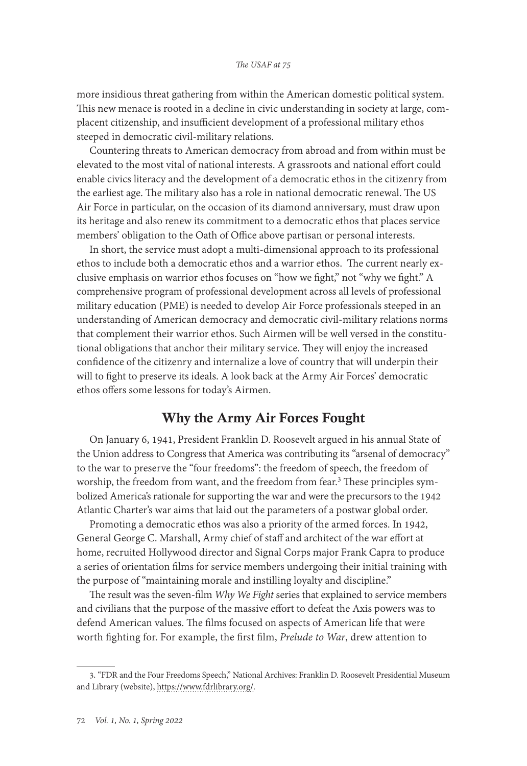<span id="page-1-0"></span>more insidious threat gathering from within the American domestic political system. This new menace is rooted in a decline in civic understanding in society at large, complacent citizenship, and insufficient development of a professional military ethos steeped in democratic civil-military relations.

Countering threats to American democracy from abroad and from within must be elevated to the most vital of national interests. A grassroots and national effort could enable civics literacy and the development of a democratic ethos in the citizenry from the earliest age. The military also has a role in national democratic renewal. The US Air Force in particular, on the occasion of its diamond anniversary, must draw upon its heritage and also renew its commitment to a democratic ethos that places service members' obligation to the Oath of Office above partisan or personal interests.

In short, the service must adopt a multi-dimensional approach to its professional ethos to include both a democratic ethos and a warrior ethos. The current nearly exclusive emphasis on warrior ethos focuses on "how we fight," not "why we fight." A comprehensive program of professional development across all levels of professional military education (PME) is needed to develop Air Force professionals steeped in an understanding of American democracy and democratic civil-military relations norms that complement their warrior ethos. Such Airmen will be well versed in the constitutional obligations that anchor their military service. They will enjoy the increased confidence of the citizenry and internalize a love of country that will underpin their will to fight to preserve its ideals. A look back at the Army Air Forces' democratic ethos offers some lessons for today's Airmen.

## Why the Army Air Forces Fought

On January 6, 1941, President Franklin D. Roosevelt argued in his annual State of the Union address to Congress that America was contributing its "arsenal of democracy" to the war to preserve the "four freedoms": the freedom of speech, the freedom of worship, the freedom from want, and the freedom from fear.<sup>3</sup> These principles symbolized America's rationale for supporting the war and were the precursors to the 1942 Atlantic Charter's war aims that laid out the parameters of a postwar global order.

Promoting a democratic ethos was also a priority of the armed forces. In 1942, General George C. Marshall, Army chief of staff and architect of the war effort at home, recruited Hollywood director and Signal Corps major Frank Capra to produce a series of orientation films for service members undergoing their initial training with the purpose of "maintaining morale and instilling loyalty and discipline."

The result was the seven-film *Why We Fight* series that explained to service members and civilians that the purpose of the massive effort to defeat the Axis powers was to defend American values. The films focused on aspects of American life that were worth fighting for. For example, the first film, *Prelude to War*, drew attention to

<sup>3. &</sup>quot;FDR and the Four Freedoms Speech," National Archives: Franklin D. Roosevelt Presidential Museum and Library (website), [https://www.fdrlibrary.org/](https://www.fdrlibrary.org/four-freedoms).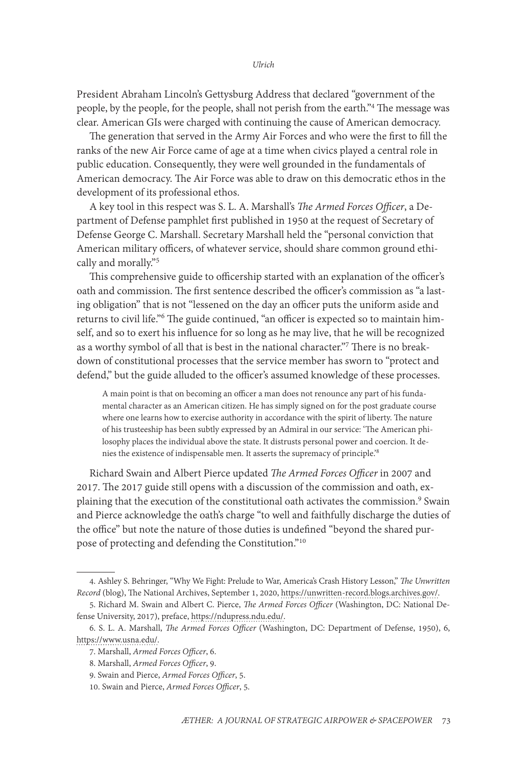President Abraham Lincoln's Gettysburg Address that declared "government of the people, by the people, for the people, shall not perish from the earth."4 The message was clear. American GIs were charged with continuing the cause of American democracy.

The generation that served in the Army Air Forces and who were the first to fill the ranks of the new Air Force came of age at a time when civics played a central role in public education. Consequently, they were well grounded in the fundamentals of American democracy. The Air Force was able to draw on this democratic ethos in the development of its professional ethos.

A key tool in this respect was S. L. A. Marshall's *The Armed Forces Officer*, a Department of Defense pamphlet first published in 1950 at the request of Secretary of Defense George C. Marshall. Secretary Marshall held the "personal conviction that American military officers, of whatever service, should share common ground ethically and morally."5

This comprehensive guide to officership started with an explanation of the officer's oath and commission. The first sentence described the officer's commission as "a lasting obligation" that is not "lessened on the day an officer puts the uniform aside and returns to civil life."6 The guide continued, "an officer is expected so to maintain himself, and so to exert his influence for so long as he may live, that he will be recognized as a worthy symbol of all that is best in the national character."7 There is no breakdown of constitutional processes that the service member has sworn to "protect and defend," but the guide alluded to the officer's assumed knowledge of these processes.

A main point is that on becoming an officer a man does not renounce any part of his fundamental character as an American citizen. He has simply signed on for the post graduate course where one learns how to exercise authority in accordance with the spirit of liberty. The nature of his trusteeship has been subtly expressed by an Admiral in our service: 'The American philosophy places the individual above the state. It distrusts personal power and coercion. It denies the existence of indispensable men. It asserts the supremacy of principle.'8

Richard Swain and Albert Pierce updated *The Armed Forces Officer* in 2007 and 2017. The 2017 guide still opens with a discussion of the commission and oath, explaining that the execution of the constitutional oath activates the commission.<sup>9</sup> Swain and Pierce acknowledge the oath's charge "to well and faithfully discharge the duties of the office" but note the nature of those duties is undefined "beyond the shared purpose of protecting and defending the Constitution."10

<sup>4.</sup> Ashley S. Behringer, "Why We Fight: Prelude to War, America's Crash History Lesson," *The Unwritten Record* (blog), The National Archives, September 1, 2020, [https://unwritten-record.blogs.archives.gov/.](https://unwritten-record.blogs.archives.gov/2020/09/01/why-we-fight-prelude-to-war-americas-crash-history-lesson/)

<sup>5.</sup> Richard M. Swain and Albert C. Pierce, *The Armed Forces Officer* (Washington, DC: National Defense University, 2017), preface, [https://ndupress.ndu.edu/.](https://ndupress.ndu.edu/Portals/68/Documents/Books/AFO/Armed-Forces-Officer.pdf)

<sup>6.</sup> S. L. A. Marshall, *The Armed Forces Officer* (Washington, DC: Department of Defense, 1950), 6, [https://www.usna.edu/.](https://www.usna.edu/Ethics/_files/documents/SLA%20Marshall%20Armed%20Forces%20Officer.pdf)

<sup>7.</sup> Marshall, *Armed Forces Officer*, 6.

<sup>8.</sup> Marshall, *Armed Forces Officer*, 9.

<sup>9.</sup> Swain and Pierce, *Armed Forces Officer*, 5.

<sup>10.</sup> Swain and Pierce, *Armed Forces Officer*, 5.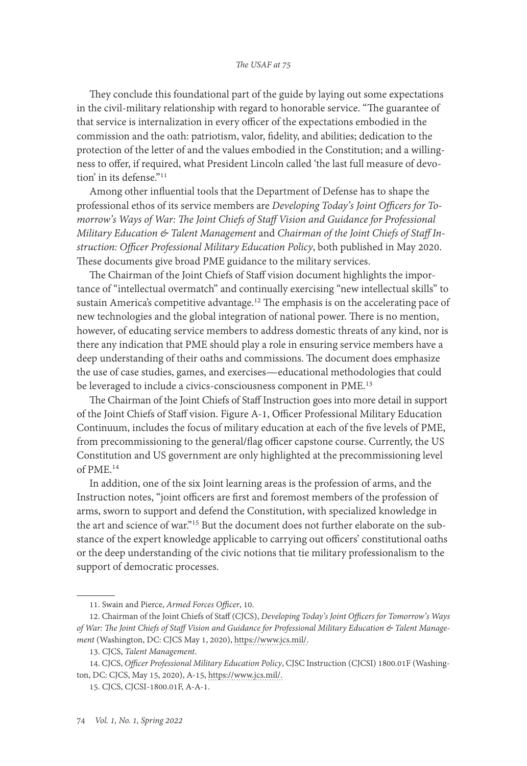#### *The USAF at 75*

They conclude this foundational part of the guide by laying out some expectations in the civil-military relationship with regard to honorable service. "The guarantee of that service is internalization in every officer of the expectations embodied in the commission and the oath: patriotism, valor, fidelity, and abilities; dedication to the protection of the letter of and the values embodied in the Constitution; and a willingness to offer, if required, what President Lincoln called 'the last full measure of devotion' in its defense."<sup>11</sup>

Among other influential tools that the Department of Defense has to shape the professional ethos of its service members are *Developing Today's Joint Officers for Tomorrow's Ways of War: The Joint Chiefs of Staff Vision and Guidance for Professional Military Education & Talent Management* and *Chairman of the Joint Chiefs of Staff Instruction: Officer Professional Military Education Policy*, both published in May 2020. These documents give broad PME guidance to the military services.

The Chairman of the Joint Chiefs of Staff vision document highlights the importance of "intellectual overmatch" and continually exercising "new intellectual skills" to sustain America's competitive advantage.<sup>12</sup> The emphasis is on the accelerating pace of new technologies and the global integration of national power. There is no mention, however, of educating service members to address domestic threats of any kind, nor is there any indication that PME should play a role in ensuring service members have a deep understanding of their oaths and commissions. The document does emphasize the use of case studies, games, and exercises—educational methodologies that could be leveraged to include a civics-consciousness component in PME.<sup>13</sup>

The Chairman of the Joint Chiefs of Staff Instruction goes into more detail in support of the Joint Chiefs of Staff vision. Figure A-1, Officer Professional Military Education Continuum, includes the focus of military education at each of the five levels of PME, from precommissioning to the general/flag officer capstone course. Currently, the US Constitution and US government are only highlighted at the precommissioning level of PME.14

In addition, one of the six Joint learning areas is the profession of arms, and the Instruction notes, "joint officers are first and foremost members of the profession of arms, sworn to support and defend the Constitution, with specialized knowledge in the art and science of war."15 But the document does not further elaborate on the substance of the expert knowledge applicable to carrying out officers' constitutional oaths or the deep understanding of the civic notions that tie military professionalism to the support of democratic processes.

14. CJCS, *Officer Professional Military Education Policy*, CJSC Instruction (CJCSI) 1800.01F (Washington, DC: CJCS, May 15, 2020), A-15, [https://www.jcs.mil/.](https://www.jcs.mil/Portals/36/Documents/Doctrine/education/cjcsi_1800_01f.pdf?ver=2020-05-15-102430-580)

<sup>11.</sup> Swain and Pierce, *Armed Forces Officer*, 10.

<sup>12.</sup> Chairman of the Joint Chiefs of Staff (CJCS), *Developing Today's Joint Officers for Tomorrow's Ways of War: The Joint Chiefs of Staff Vision and Guidance for Professional Military Education & Talent Management* (Washington, DC: CJCS May 1, 2020), [https://www.jcs.mil/](https://www.jcs.mil/Portals/36/Documents/Doctrine/education/jcs_pme_tm_vision.pdf?ver=2020-05-15-102429-817).

<sup>13.</sup> CJCS, *Talent Management*.

<sup>15.</sup> CJCS, CJCSI-1800.01F, A-A-1.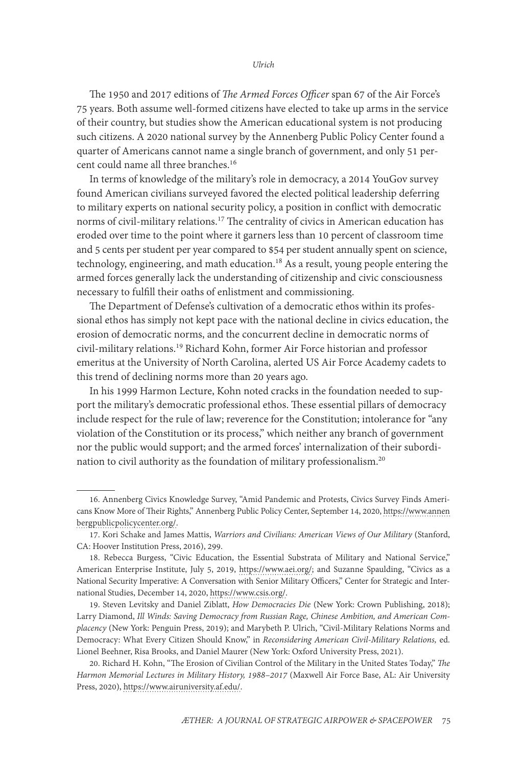The 1950 and 2017 editions of *The Armed Forces Officer* span 67 of the Air Force's 75 years. Both assume well-formed citizens have elected to take up arms in the service of their country, but studies show the American educational system is not producing such citizens. A 2020 national survey by the Annenberg Public Policy Center found a quarter of Americans cannot name a single branch of government, and only 51 percent could name all three branches.<sup>16</sup>

In terms of knowledge of the military's role in democracy, a 2014 YouGov survey found American civilians surveyed favored the elected political leadership deferring to military experts on national security policy, a position in conflict with democratic norms of civil-military relations.<sup>17</sup> The centrality of civics in American education has eroded over time to the point where it garners less than 10 percent of classroom time and 5 cents per student per year compared to \$54 per student annually spent on science, technology, engineering, and math education.<sup>18</sup> As a result, young people entering the armed forces generally lack the understanding of citizenship and civic consciousness necessary to fulfill their oaths of enlistment and commissioning.

The Department of Defense's cultivation of a democratic ethos within its professional ethos has simply not kept pace with the national decline in civics education, the erosion of democratic norms, and the concurrent decline in democratic norms of civil-military relations.19 Richard Kohn, former Air Force historian and professor emeritus at the University of North Carolina, alerted US Air Force Academy cadets to this trend of declining norms more than 20 years ago.

In his 1999 Harmon Lecture, Kohn noted cracks in the foundation needed to support the military's democratic professional ethos. These essential pillars of democracy include respect for the rule of law; reverence for the Constitution; intolerance for "any violation of the Constitution or its process," which neither any branch of government nor the public would support; and the armed forces' internalization of their subordination to civil authority as the foundation of military professionalism.20

19. Steven Levitsky and Daniel Ziblatt, *How Democracies Die* (New York: Crown Publishing, 2018); Larry Diamond, *Ill Winds: Saving Democracy from Russian Rage, Chinese Ambition, and American Complacency* (New York: Penguin Press, 2019); and Marybeth P. Ulrich, "Civil-Military Relations Norms and Democracy: What Every Citizen Should Know," in *Reconsidering American Civil-Military Relations,* ed. Lionel Beehner, Risa Brooks, and Daniel Maurer (New York: Oxford University Press, 2021).

20. Richard H. Kohn, "The Erosion of Civilian Control of the Military in the United States Today," *The Harmon Memorial Lectures in Military History, 1988–2017* (Maxwell Air Force Base, AL: Air University Press, 2020), [https://www.airuniversity.af.edu/.](https://www.airuniversity.af.edu/Portals/10/AUPress/Books/B_00165_GROTELUESCHEN_THE_HARMON_MEMORIAL_LECTURES_IN_MILITARY_HISTORY_1988_2017.PDF)

<sup>16.</sup> Annenberg Civics Knowledge Survey, "Amid Pandemic and Protests, Civics Survey Finds Americans Know More of Their Rights," Annenberg Public Policy Center, September 14, 2020, [https://www.annen](https://www.annenbergpublicpolicycenter.org/pandemic-protests-2020-civics-survey-americans-know-much-more-about-their-rights/) [bergpublicpolicycenter.org/.](https://www.annenbergpublicpolicycenter.org/pandemic-protests-2020-civics-survey-americans-know-much-more-about-their-rights/)

<sup>17.</sup> Kori Schake and James Mattis, *Warriors and Civilians: American Views of Our Military* (Stanford, CA: Hoover Institution Press, 2016), 299.

<sup>18.</sup> Rebecca Burgess, "Civic Education, the Essential Substrata of Military and National Service," American Enterprise Institute, July 5, 2019, [https://www.aei.org/](https://www.aei.org/research-products/speech/civic-education-the-essential-substrata-of-military-and-national-service/); and Suzanne Spaulding, "Civics as a National Security Imperative: A Conversation with Senior Military Officers," Center for Strategic and International Studies, December 14, 2020, [https://www.csis.org/](https://www.csis.org/events/online-event-civics-national-security-imperative-conversation-senior-military-officers).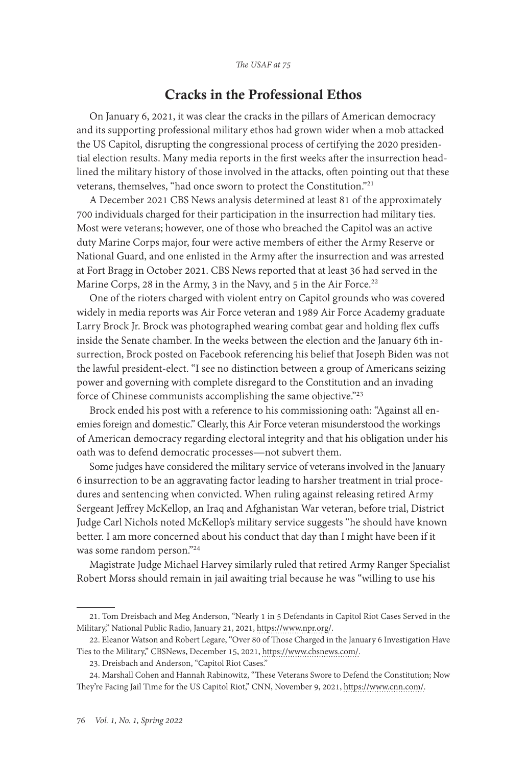## Cracks in the Professional Ethos

On January 6, 2021, it was clear the cracks in the pillars of American democracy and its supporting professional military ethos had grown wider when a mob attacked the US Capitol, disrupting the congressional process of certifying the 2020 presidential election results. Many media reports in the first weeks after the insurrection headlined the military history of those involved in the attacks, often pointing out that these veterans, themselves, "had once sworn to protect the Constitution."21

A December 2021 CBS News analysis determined at least 81 of the approximately 700 individuals charged for their participation in the insurrection had military ties. Most were veterans; however, one of those who breached the Capitol was an active duty Marine Corps major, four were active members of either the Army Reserve or National Guard, and one enlisted in the Army after the insurrection and was arrested at Fort Bragg in October 2021. CBS News reported that at least 36 had served in the Marine Corps, 28 in the Army, 3 in the Navy, and 5 in the Air Force.<sup>22</sup>

One of the rioters charged with violent entry on Capitol grounds who was covered widely in media reports was Air Force veteran and 1989 Air Force Academy graduate Larry Brock Jr. Brock was photographed wearing combat gear and holding flex cuffs inside the Senate chamber. In the weeks between the election and the January 6th insurrection, Brock posted on Facebook referencing his belief that Joseph Biden was not the lawful president-elect. "I see no distinction between a group of Americans seizing power and governing with complete disregard to the Constitution and an invading force of Chinese communists accomplishing the same objective."<sup>23</sup>

Brock ended his post with a reference to his commissioning oath: "Against all enemies foreign and domestic." Clearly, this Air Force veteran misunderstood the workings of American democracy regarding electoral integrity and that his obligation under his oath was to defend democratic processes—not subvert them.

Some judges have considered the military service of veterans involved in the January 6 insurrection to be an aggravating factor leading to harsher treatment in trial procedures and sentencing when convicted. When ruling against releasing retired Army Sergeant Jeffrey McKellop, an Iraq and Afghanistan War veteran, before trial, District Judge Carl Nichols noted McKellop's military service suggests "he should have known better. I am more concerned about his conduct that day than I might have been if it was some random person."24

Magistrate Judge Michael Harvey similarly ruled that retired Army Ranger Specialist Robert Morss should remain in jail awaiting trial because he was "willing to use his

<sup>21.</sup> Tom Dreisbach and Meg Anderson, "Nearly 1 in 5 Defendants in Capitol Riot Cases Served in the Military," National Public Radio, January 21, 2021, [https://www.npr.org/.](https://www.npr.org/2021/01/21/958915267/nearly-one-in-five-defendants-in-capitol-riot-cases-served-in-the-military)

<sup>22.</sup> Eleanor Watson and Robert Legare, "Over 80 of Those Charged in the January 6 Investigation Have Ties to the Military," CBSNews, December 15, 2021, [https://www.cbsnews.com/.](https://www.cbsnews.com/news/capitol-riot-january-6-military-ties/)

<sup>23.</sup> Dreisbach and Anderson, "Capitol Riot Cases."

<sup>24.</sup> Marshall Cohen and Hannah Rabinowitz, "These Veterans Swore to Defend the Constitution; Now They're Facing Jail Time for the US Capitol Riot," CNN, November 9, 2021, [https://www.cnn.com/](https://www.cnn.com/2021/11/09/politics/january-6-veterans-military/index.html).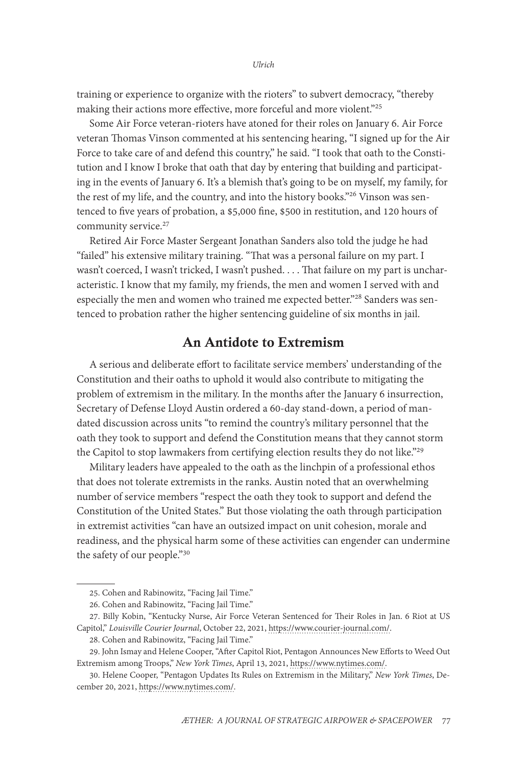training or experience to organize with the rioters" to subvert democracy, "thereby making their actions more effective, more forceful and more violent."<sup>25</sup>

Some Air Force veteran-rioters have atoned for their roles on January 6. Air Force veteran Thomas Vinson commented at his sentencing hearing, "I signed up for the Air Force to take care of and defend this country," he said. "I took that oath to the Constitution and I know I broke that oath that day by entering that building and participating in the events of January 6. It's a blemish that's going to be on myself, my family, for the rest of my life, and the country, and into the history books."26 Vinson was sentenced to five years of probation, a \$5,000 fine, \$500 in restitution, and 120 hours of community service.<sup>27</sup>

Retired Air Force Master Sergeant Jonathan Sanders also told the judge he had "failed" his extensive military training. "That was a personal failure on my part. I wasn't coerced, I wasn't tricked, I wasn't pushed. . . . That failure on my part is uncharacteristic. I know that my family, my friends, the men and women I served with and especially the men and women who trained me expected better."28 Sanders was sentenced to probation rather the higher sentencing guideline of six months in jail.

## An Antidote to Extremism

A serious and deliberate effort to facilitate service members' understanding of the Constitution and their oaths to uphold it would also contribute to mitigating the problem of extremism in the military. In the months after the January 6 insurrection, Secretary of Defense Lloyd Austin ordered a 60-day stand-down, a period of mandated discussion across units "to remind the country's military personnel that the oath they took to support and defend the Constitution means that [they cannot storm](https://www.nytimes.com/2021/01/19/us/politics/national-guard-capitol-biden-inauguration.html?searchResultPosition=8)  [the Capitol](https://www.nytimes.com/2021/01/19/us/politics/national-guard-capitol-biden-inauguration.html?searchResultPosition=8) to stop lawmakers from certifying election results they do not like."<sup>29</sup>

Military leaders have appealed to the oath as the linchpin of a professional ethos that does not tolerate extremists in the ranks. Austin noted that an overwhelming number of service members "respect the oath they took to support and defend the Constitution of the United States." But those violating the oath through participation in extremist activities "can have an outsized impact on unit cohesion, morale and readiness, and the physical harm some of these activities can engender can undermine the safety of our people."30

<sup>25.</sup> Cohen and Rabinowitz, "Facing Jail Time."

<sup>26.</sup> Cohen and Rabinowitz, "Facing Jail Time."

<sup>27.</sup> Billy Kobin, "Kentucky Nurse, Air Force Veteran Sentenced for Their Roles in Jan. 6 Riot at US Capitol," *Louisville Courier Journal*, October 22, 2021, [https://www.courier-journal.com/](https://www.courier-journal.com/story/news/crime/2021/10/22/us-capitol-riot-lori-thomas-vinson-morganfield-kentucky-sentenced/6117260001/).

<sup>28.</sup> Cohen and Rabinowitz, "Facing Jail Time."

<sup>29.</sup> John Ismay and Helene Cooper, "After Capitol Riot, Pentagon Announces New Efforts to Weed Out Extremism among Troops," *New York Times*, April 13, 2021, [https://www.nytimes.com/.](https://www.nytimes.com/2021/04/09/us/politics/military-race-capitol-riots-extremism.html?action=click&module=RelatedLinks&pgtype=Article)

<sup>30.</sup> Helene Cooper, "Pentagon Updates Its Rules on Extremism in the Military," *New York Times*, December 20, 2021, [https://www.nytimes.com/.](https://www.nytimes.com/2021/12/20/us/politics/pentagon-military-extremism-rules.html)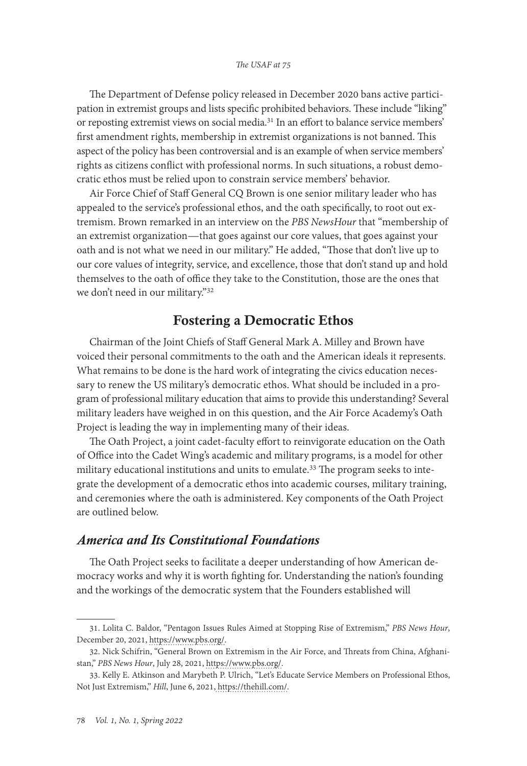The Department of Defense policy released in December 2020 bans active participation in extremist groups and lists specific prohibited behaviors. These include "liking" or reposting extremist views on social media.<sup>31</sup> In an effort to balance service members' first amendment rights, membership in extremist organizations is not banned. This aspect of the policy has been controversial and is an example of when service members' rights as citizens conflict with professional norms. In such situations, a robust democratic ethos must be relied upon to constrain service members' behavior.

Air Force Chief of Staff General CQ Brown is one senior military leader who has appealed to the service's professional ethos, and the oath specifically, to root out extremism. Brown remarked in an interview on the *PBS NewsHour* that "membership of an extremist organization—that goes against our core values, that goes against your oath and is not what we need in our military." He added, "Those that don't live up to our core values of integrity, service, and excellence, those that don't stand up and hold themselves to the oath of office they take to the Constitution, those are the ones that we don't need in our military."32

## Fostering a Democratic Ethos

Chairman of the Joint Chiefs of Staff General Mark A. Milley and Brown have voiced their personal commitments to the oath and the American ideals it represents. What remains to be done is the hard work of integrating the civics education necessary to renew the US military's democratic ethos. What should be included in a program of professional military education that aims to provide this understanding? Several military leaders have weighed in on this question, and the Air Force Academy's Oath Project is leading the way in implementing many of their ideas.

The Oath Project, a joint cadet-faculty effort to reinvigorate education on the Oath of Office into the Cadet Wing's academic and military programs, is a model for other military educational institutions and units to emulate.<sup>33</sup> The program seeks to integrate the development of a democratic ethos into academic courses, military training, and ceremonies where the oath is administered. Key components of the Oath Project are outlined below.

#### *America and Its Constitutional Foundations*

The Oath Project seeks to facilitate a deeper understanding of how American democracy works and why it is worth fighting for. Understanding the nation's founding and the workings of the democratic system that the Founders established will

<sup>31.</sup> Lolita C. Baldor, "Pentagon Issues Rules Aimed at Stopping Rise of Extremism," *PBS News Hour*, December 20, 2021, [https://www.pbs.org/.](https://www.pbs.org/newshour/politics/pentagon-issues-rules-aimed-at-stopping-rise-of-extremism)

<sup>32.</sup> Nick Schifrin, "General Brown on Extremism in the Air Force, and Threats from China, Afghanistan," *PBS News Hour*, July 28, 2021, [https://www.pbs.org/](https://www.pbs.org/newshour/show/gen-brown-on-extremism-in-the-air-force-and-threats-from-china-afghanistan).

<sup>33.</sup> Kelly E. Atkinson and Marybeth P. Ulrich, "Let's Educate Service Members on Professional Ethos, Not Just Extremism," *Hill*, June 6, 2021, [https://thehill.com/.](https://thehill.com/opinion/national-security/556662-lets-educate-service-members-on-professional-ethos-not-just)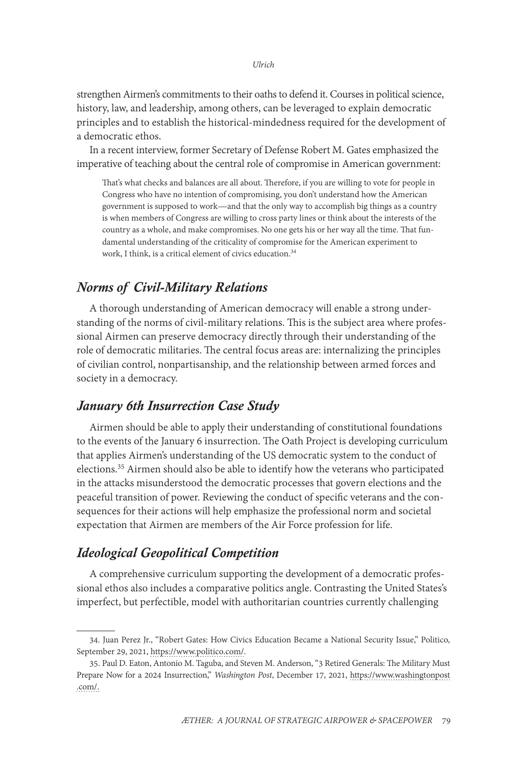strengthen Airmen's commitments to their oaths to defend it. Courses in political science, history, law, and leadership, among others, can be leveraged to explain democratic principles and to establish the historical-mindedness required for the development of a democratic ethos.

In a recent interview, former Secretary of Defense Robert M. Gates emphasized the imperative of teaching about the central role of compromise in American government:

That's what checks and balances are all about. Therefore, if you are willing to vote for people in Congress who have no intention of compromising, you don't understand how the American government is supposed to work—and that the only way to accomplish big things as a country is when members of Congress are willing to cross party lines or think about the interests of the country as a whole, and make compromises. No one gets his or her way all the time. That fundamental understanding of the criticality of compromise for the American experiment to work, I think, is a critical element of civics education.34

### *Norms of Civil-Military Relations*

A thorough understanding of American democracy will enable a strong understanding of the norms of civil-military relations. This is the subject area where professional Airmen can preserve democracy directly through their understanding of the role of democratic militaries. The central focus areas are: internalizing the principles of civilian control, nonpartisanship, and the relationship between armed forces and society in a democracy.

#### *January 6th Insurrection Case Study*

Airmen should be able to apply their understanding of constitutional foundations to the events of the January 6 insurrection. The Oath Project is developing curriculum that applies Airmen's understanding of the US democratic system to the conduct of elections.35 Airmen should also be able to identify how the veterans who participated in the attacks misunderstood the democratic processes that govern elections and the peaceful transition of power. Reviewing the conduct of specific veterans and the consequences for their actions will help emphasize the professional norm and societal expectation that Airmen are members of the Air Force profession for life.

### *Ideological Geopolitical Competition*

A comprehensive curriculum supporting the development of a democratic professional ethos also includes a comparative politics angle. Contrasting the United States's imperfect, but perfectible, model with authoritarian countries currently challenging

<sup>34.</sup> Juan Perez Jr., "Robert Gates: How Civics Education Became a National Security Issue," Politico, September 29, 2021, [https://www.politico.com/](https://www.politico.com/news/2021/09/29/robert-gates-civics-education-national-security-514730).

<sup>35.</sup> Paul D. Eaton, Antonio M. Taguba, and Steven M. Anderson, "3 Retired Generals: The Military Must Prepare Now for a 2024 Insurrection," *Washington Post*, December 17, 2021, [https://www.washingtonpost](https://www.washingtonpost.com/opinions/2021/12/17/eaton-taguba-anderson-generals-military/) [.com/](https://www.washingtonpost.com/opinions/2021/12/17/eaton-taguba-anderson-generals-military/).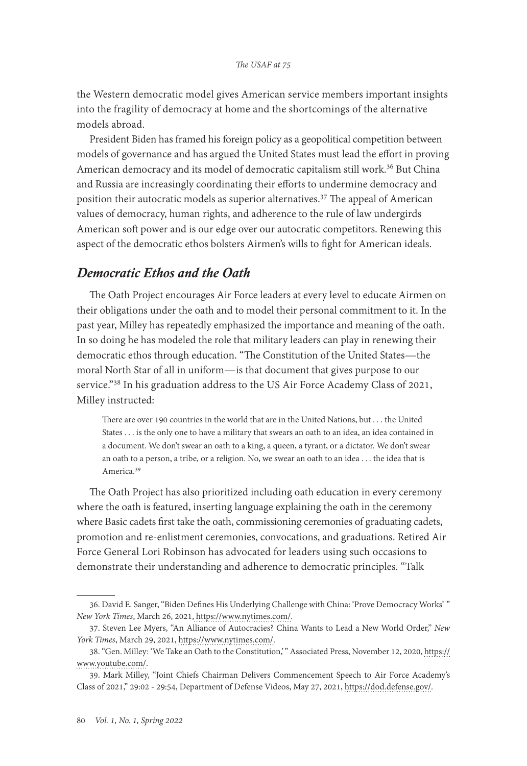the Western democratic model gives American service members important insights into the fragility of democracy at home and the shortcomings of the alternative models abroad.

President Biden has framed his foreign policy as a geopolitical competition between models of governance and has argued the United States must lead the effort in proving American democracy and its model of democratic capitalism still work.<sup>36</sup> But China and Russia are increasingly coordinating their efforts to undermine democracy and position their autocratic models as superior alternatives.37 The appeal of American values of democracy, human rights, and adherence to the rule of law undergirds American soft power and is our edge over our autocratic competitors. Renewing this aspect of the democratic ethos bolsters Airmen's wills to fight for American ideals.

## *Democratic Ethos and the Oath*

The Oath Project encourages Air Force leaders at every level to educate Airmen on their obligations under the oath and to model their personal commitment to it. In the past year, Milley has repeatedly emphasized the importance and meaning of the oath. In so doing he has modeled the role that military leaders can play in renewing their democratic ethos through education. "The Constitution of the United States—the moral North Star of all in uniform—is that document that gives purpose to our service."<sup>38</sup> In his graduation address to the US Air Force Academy Class of 2021, Milley instructed:

There are over 190 countries in the world that are in the United Nations, but . . . the United States . . . is the only one to have a military that swears an oath to an idea, an idea contained in a document. We don't swear an oath to a king, a queen, a tyrant, or a dictator. We don't swear an oath to a person, a tribe, or a religion. No, we swear an oath to an idea . . . the idea that is America.39

The Oath Project has also prioritized including oath education in every ceremony where the oath is featured, inserting language explaining the oath in the ceremony where Basic cadets first take the oath, commissioning ceremonies of graduating cadets, promotion and re-enlistment ceremonies, convocations, and graduations. Retired Air Force General Lori Robinson has advocated for leaders using such occasions to demonstrate their understanding and adherence to democratic principles. "Talk

<sup>36.</sup> David E. Sanger, "Biden Defines His Underlying Challenge with China: 'Prove Democracy Works' " *New York Times*, March 26, 2021, [https://www.nytimes.com/](https://www.nytimes.com/2021/03/26/us/politics/biden-china-democracy.html).

<sup>37.</sup> Steven Lee Myers, "An Alliance of Autocracies? China Wants to Lead a New World Order," *New York Times*, March 29, 2021, [https://www.nytimes.com/.](https://www.nytimes.com/2021/03/29/world/asia/china-us-russia.html)

<sup>38. &</sup>quot;Gen. Milley: 'We Take an Oath to the Constitution,' " Associated Press, November 12, 2020, [https://](https://www.youtube.com/watch?v=DLU6rrYjRxc) [www.youtube.com/](https://www.youtube.com/watch?v=DLU6rrYjRxc).

<sup>39.</sup> Mark Milley, "Joint Chiefs Chairman Delivers Commencement Speech to Air Force Academy's Class of 2021," 29:02 - 29:54, Department of Defense Videos, May 27, 2021, [https://dod.defense.gov/](https://dod.defense.gov/News/Special-Reports/Videos/?videoid=796485).